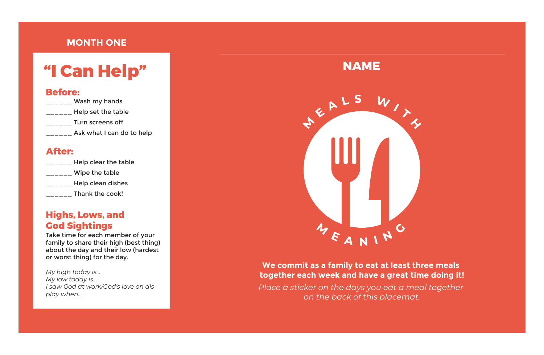| Wash my hands             |  |
|---------------------------|--|
| Help set the table        |  |
| Turn screens off          |  |
| Ask what I can do to help |  |

Take time for each member of your family to share their high (best thing) about the day and their low (hardest or worst thing) for the day.

*My high today is… My low today is… I saw God at work/God's love on display when...*

**NAME** JEALS W MEANING

# **"I Can Help"**

#### **Before:**

#### **After:**

| Help clear the table |
|----------------------|
| Wipe the table       |
| Help clean dishes    |
| Thank the cook!      |

## **Highs, Lows, and God Sightings**

#### **We commit as a family to eat at least three meals together each week and have a great time doing it!**

*Place a sticker on the days you eat a meal together on the back of this placemat.*

## **MONTH ONE**